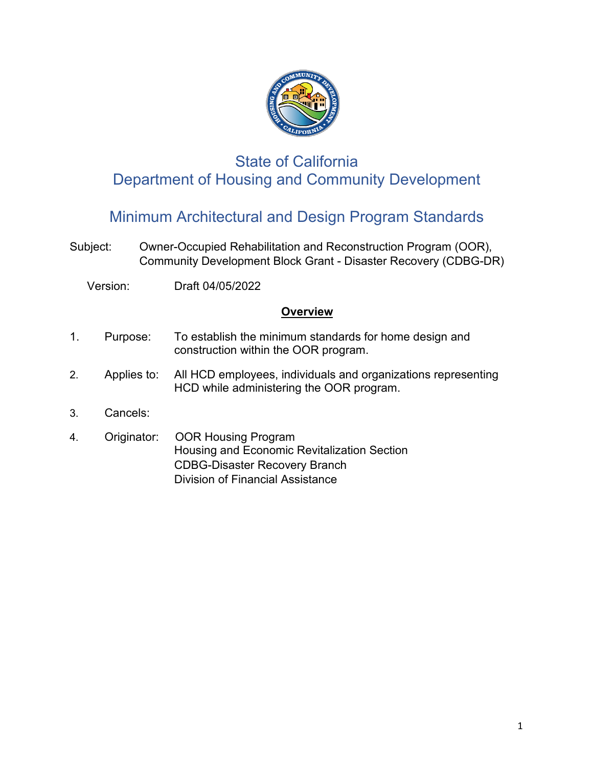

# State of California Department of Housing and Community Development

# Minimum Architectural and Design Program Standards

Subject: Owner-Occupied Rehabilitation and Reconstruction Program (OOR), Community Development Block Grant - Disaster Recovery (CDBG-DR)

Version: Draft 04/05/2022

# **Overview**

- 1. Purpose: To establish the minimum standards for home design and construction within the OOR program.
- 2. Applies to: All HCD employees, individuals and organizations representing HCD while administering the OOR program.
- 3. Cancels:
- 4. Originator: OOR Housing Program Housing and Economic Revitalization Section CDBG-Disaster Recovery Branch Division of Financial Assistance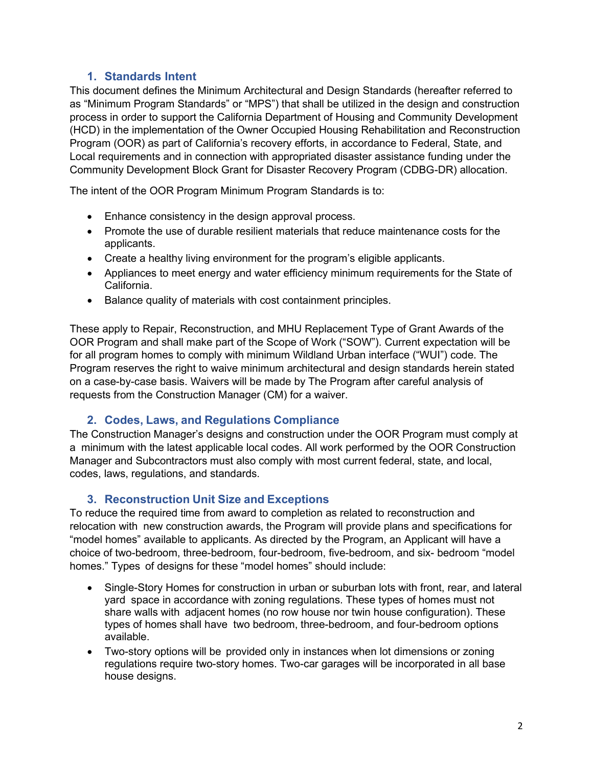# **1. Standards Intent**

This document defines the Minimum Architectural and Design Standards (hereafter referred to as "Minimum Program Standards" or "MPS") that shall be utilized in the design and construction process in order to support the California Department of Housing and Community Development (HCD) in the implementation of the Owner Occupied Housing Rehabilitation and Reconstruction Program (OOR) as part of California's recovery efforts, in accordance to Federal, State, and Local requirements and in connection with appropriated disaster assistance funding under the Community Development Block Grant for Disaster Recovery Program (CDBG-DR) allocation.

The intent of the OOR Program Minimum Program Standards is to:

- Enhance consistency in the design approval process.
- Promote the use of durable resilient materials that reduce maintenance costs for the applicants.
- Create a healthy living environment for the program's eligible applicants.
- Appliances to meet energy and water efficiency minimum requirements for the State of California.
- Balance quality of materials with cost containment principles.

These apply to Repair, Reconstruction, and MHU Replacement Type of Grant Awards of the OOR Program and shall make part of the Scope of Work ("SOW"). Current expectation will be for all program homes to comply with minimum Wildland Urban interface ("WUI") code. The Program reserves the right to waive minimum architectural and design standards herein stated on a case-by-case basis. Waivers will be made by The Program after careful analysis of requests from the Construction Manager (CM) for a waiver.

## **2. Codes, Laws, and Regulations Compliance**

The Construction Manager's designs and construction under the OOR Program must comply at a minimum with the latest applicable local codes. All work performed by the OOR Construction Manager and Subcontractors must also comply with most current federal, state, and local, codes, laws, regulations, and standards.

# **3. Reconstruction Unit Size and Exceptions**

To reduce the required time from award to completion as related to reconstruction and relocation with new construction awards, the Program will provide plans and specifications for "model homes" available to applicants. As directed by the Program, an Applicant will have a choice of two-bedroom, three-bedroom, four-bedroom, five-bedroom, and six- bedroom "model homes." Types of designs for these "model homes" should include:

- Single-Story Homes for construction in urban or suburban lots with front, rear, and lateral yard space in accordance with zoning regulations. These types of homes must not share walls with adjacent homes (no row house nor twin house configuration). These types of homes shall have two bedroom, three-bedroom, and four-bedroom options available.
- Two-story options will be provided only in instances when lot dimensions or zoning regulations require two-story homes. Two-car garages will be incorporated in all base house designs.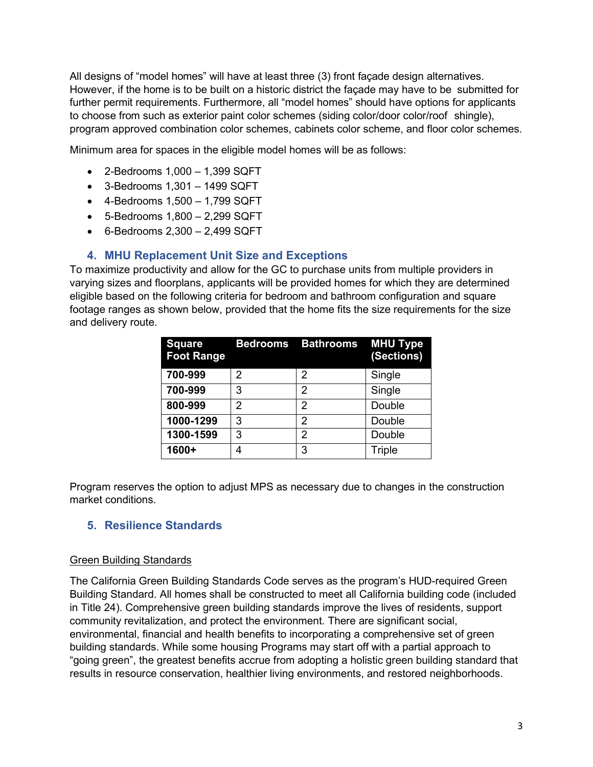All designs of "model homes" will have at least three (3) front façade design alternatives. However, if the home is to be built on a historic district the façade may have to be submitted for further permit requirements. Furthermore, all "model homes" should have options for applicants to choose from such as exterior paint color schemes (siding color/door color/roof shingle), program approved combination color schemes, cabinets color scheme, and floor color schemes.

Minimum area for spaces in the eligible model homes will be as follows:

- $\bullet$  2-Bedrooms 1,000 1,399 SQFT
- $\bullet$  3-Bedrooms 1,301 1499 SQFT
- $\bullet$  4-Bedrooms 1,500 1,799 SQFT
- $\bullet$  5-Bedrooms 1,800 2,299 SQFT
- $\bullet$  6-Bedrooms 2,300 2,499 SQFT

## **4. MHU Replacement Unit Size and Exceptions**

To maximize productivity and allow for the GC to purchase units from multiple providers in varying sizes and floorplans, applicants will be provided homes for which they are determined eligible based on the following criteria for bedroom and bathroom configuration and square footage ranges as shown below, provided that the home fits the size requirements for the size and delivery route.

| <b>Square</b><br><b>Foot Range</b> |                | <b>Bedrooms Bathrooms</b> | <b>MHU Type</b><br>(Sections) |
|------------------------------------|----------------|---------------------------|-------------------------------|
| 700-999                            | 2              | 2                         | Single                        |
| 700-999                            | 3              | 2                         | Single                        |
| 800-999                            | $\overline{2}$ | $\overline{2}$            | Double                        |
| 1000-1299                          | 3              | 2                         | Double                        |
| 1300-1599                          | 3              | 2                         | Double                        |
| 1600+                              | 4              | 3                         | <b>Triple</b>                 |

Program reserves the option to adjust MPS as necessary due to changes in the construction market conditions.

## **5. Resilience Standards**

#### Green Building Standards

The California Green Building Standards Code serves as the program's HUD-required Green Building Standard. All homes shall be constructed to meet all California building code (included in Title 24). Comprehensive green building standards improve the lives of residents, support community revitalization, and protect the environment. There are significant social, environmental, financial and health benefits to incorporating a comprehensive set of green building standards. While some housing Programs may start off with a partial approach to "going green", the greatest benefits accrue from adopting a holistic green building standard that results in resource conservation, healthier living environments, and restored neighborhoods.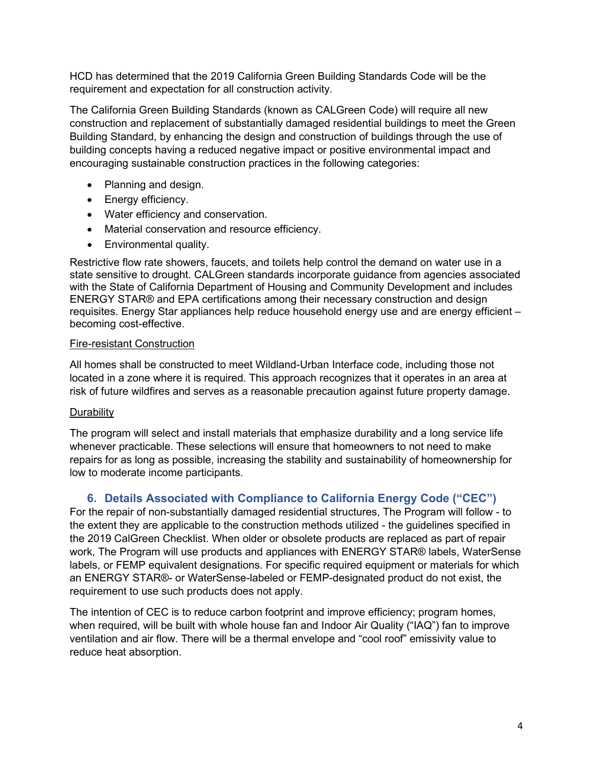HCD has determined that the 2019 California Green Building Standards Code will be the requirement and expectation for all construction activity.

The California Green Building Standards (known as CALGreen Code) will require all new construction and replacement of substantially damaged residential buildings to meet the Green Building Standard, by enhancing the design and construction of buildings through the use of building concepts having a reduced negative impact or positive environmental impact and encouraging sustainable construction practices in the following categories:

- Planning and design.
- Energy efficiency.
- Water efficiency and conservation.
- Material conservation and resource efficiency.
- Environmental quality.

Restrictive flow rate showers, faucets, and toilets help control the demand on water use in a state sensitive to drought. CALGreen standards incorporate guidance from agencies associated with the State of California Department of Housing and Community Development and includes ENERGY STAR® and EPA certifications among their necessary construction and design requisites. Energy Star appliances help reduce household energy use and are energy efficient – becoming cost-effective.

#### Fire-resistant Construction

All homes shall be constructed to meet Wildland-Urban Interface code, including those not located in a zone where it is required. This approach recognizes that it operates in an area at risk of future wildfires and serves as a reasonable precaution against future property damage.

## **Durability**

The program will select and install materials that emphasize durability and a long service life whenever practicable. These selections will ensure that homeowners to not need to make repairs for as long as possible, increasing the stability and sustainability of homeownership for low to moderate income participants.

# **6. Details Associated with Compliance to California Energy Code ("CEC")**

For the repair of non-substantially damaged residential structures, The Program will follow - to the extent they are applicable to the construction methods utilized - the guidelines specified in the 2019 CalGreen Checklist. When older or obsolete products are replaced as part of repair work, The Program will use products and appliances with ENERGY STAR® labels, WaterSense labels, or FEMP equivalent designations. For specific required equipment or materials for which an ENERGY STAR®- or WaterSense-labeled or FEMP-designated product do not exist, the requirement to use such products does not apply.

The intention of CEC is to reduce carbon footprint and improve efficiency; program homes, when required, will be built with whole house fan and Indoor Air Quality ("IAQ") fan to improve ventilation and air flow. There will be a thermal envelope and "cool roof" emissivity value to reduce heat absorption.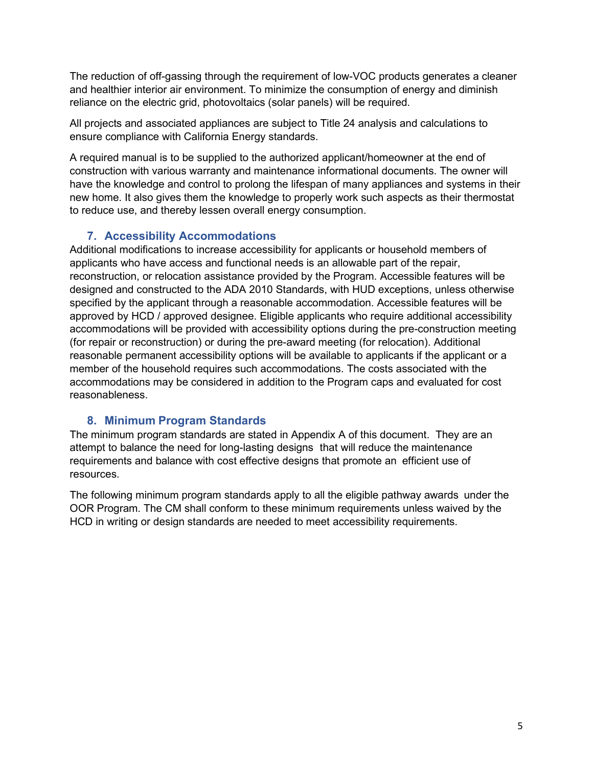The reduction of off-gassing through the requirement of low-VOC products generates a cleaner and healthier interior air environment. To minimize the consumption of energy and diminish reliance on the electric grid, photovoltaics (solar panels) will be required.

All projects and associated appliances are subject to Title 24 analysis and calculations to ensure compliance with California Energy standards.

A required manual is to be supplied to the authorized applicant/homeowner at the end of construction with various warranty and maintenance informational documents. The owner will have the knowledge and control to prolong the lifespan of many appliances and systems in their new home. It also gives them the knowledge to properly work such aspects as their thermostat to reduce use, and thereby lessen overall energy consumption.

# **7. Accessibility Accommodations**

Additional modifications to increase accessibility for applicants or household members of applicants who have access and functional needs is an allowable part of the repair, reconstruction, or relocation assistance provided by the Program. Accessible features will be designed and constructed to the ADA 2010 Standards, with HUD exceptions, unless otherwise specified by the applicant through a reasonable accommodation. Accessible features will be approved by HCD / approved designee. Eligible applicants who require additional accessibility accommodations will be provided with accessibility options during the pre-construction meeting (for repair or reconstruction) or during the pre-award meeting (for relocation). Additional reasonable permanent accessibility options will be available to applicants if the applicant or a member of the household requires such accommodations. The costs associated with the accommodations may be considered in addition to the Program caps and evaluated for cost reasonableness.

# **8. Minimum Program Standards**

The minimum program standards are stated in Appendix A of this document. They are an attempt to balance the need for long-lasting designs that will reduce the maintenance requirements and balance with cost effective designs that promote an efficient use of resources.

The following minimum program standards apply to all the eligible pathway awards under the OOR Program. The CM shall conform to these minimum requirements unless waived by the HCD in writing or design standards are needed to meet accessibility requirements.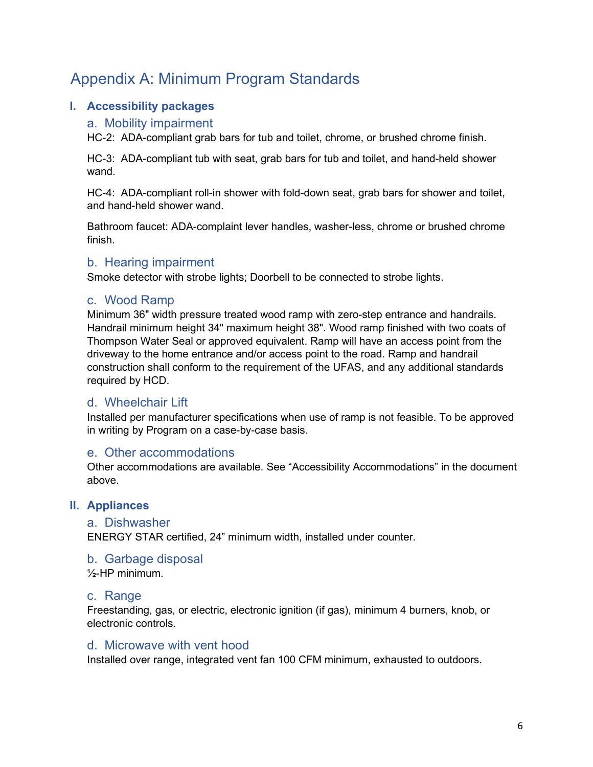# Appendix A: Minimum Program Standards

# **I. Accessibility packages**

a. Mobility impairment

HC-2: ADA-compliant grab bars for tub and toilet, chrome, or brushed chrome finish.

HC-3: ADA-compliant tub with seat, grab bars for tub and toilet, and hand-held shower wand.

HC-4: ADA-compliant roll-in shower with fold-down seat, grab bars for shower and toilet, and hand-held shower wand.

Bathroom faucet: ADA-complaint lever handles, washer-less, chrome or brushed chrome finish.

# b. Hearing impairment

Smoke detector with strobe lights; Doorbell to be connected to strobe lights.

# c. Wood Ramp

Minimum 36" width pressure treated wood ramp with zero-step entrance and handrails. Handrail minimum height 34" maximum height 38". Wood ramp finished with two coats of Thompson Water Seal or approved equivalent. Ramp will have an access point from the driveway to the home entrance and/or access point to the road. Ramp and handrail construction shall conform to the requirement of the UFAS, and any additional standards required by HCD.

# d. Wheelchair Lift

Installed per manufacturer specifications when use of ramp is not feasible. To be approved in writing by Program on a case-by-case basis.

## e. Other accommodations

Other accommodations are available. See "Accessibility Accommodations" in the document above.

# **II. Appliances**

#### a. Dishwasher

ENERGY STAR certified, 24" minimum width, installed under counter.

## b. Garbage disposal

½-HP minimum.

## c. Range

Freestanding, gas, or electric, electronic ignition (if gas), minimum 4 burners, knob, or electronic controls.

## d. Microwave with vent hood

Installed over range, integrated vent fan 100 CFM minimum, exhausted to outdoors.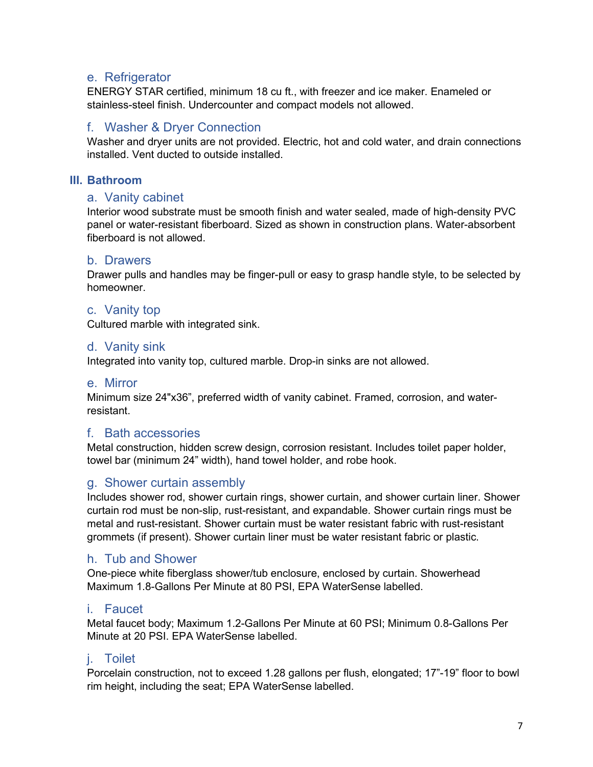# e. Refrigerator

ENERGY STAR certified, minimum 18 cu ft., with freezer and ice maker. Enameled or stainless-steel finish. Undercounter and compact models not allowed.

## f. Washer & Dryer Connection

Washer and dryer units are not provided. Electric, hot and cold water, and drain connections installed. Vent ducted to outside installed.

## **III. Bathroom**

## a. Vanity cabinet

Interior wood substrate must be smooth finish and water sealed, made of high-density PVC panel or water-resistant fiberboard. Sized as shown in construction plans. Water-absorbent fiberboard is not allowed.

## b. Drawers

Drawer pulls and handles may be finger-pull or easy to grasp handle style, to be selected by homeowner.

## c. Vanity top

Cultured marble with integrated sink.

#### d. Vanity sink

Integrated into vanity top, cultured marble. Drop-in sinks are not allowed.

#### e. Mirror

Minimum size 24"x36", preferred width of vanity cabinet. Framed, corrosion, and waterresistant.

## f. Bath accessories

Metal construction, hidden screw design, corrosion resistant. Includes toilet paper holder, towel bar (minimum 24" width), hand towel holder, and robe hook.

## g. Shower curtain assembly

Includes shower rod, shower curtain rings, shower curtain, and shower curtain liner. Shower curtain rod must be non-slip, rust-resistant, and expandable. Shower curtain rings must be metal and rust-resistant. Shower curtain must be water resistant fabric with rust-resistant grommets (if present). Shower curtain liner must be water resistant fabric or plastic.

## h. Tub and Shower

One-piece white fiberglass shower/tub enclosure, enclosed by curtain. Showerhead Maximum 1.8-Gallons Per Minute at 80 PSI, EPA WaterSense labelled.

#### i. Faucet

Metal faucet body; Maximum 1.2-Gallons Per Minute at 60 PSI; Minimum 0.8-Gallons Per Minute at 20 PSI. EPA WaterSense labelled.

## j. Toilet

Porcelain construction, not to exceed 1.28 gallons per flush, elongated; 17"-19" floor to bowl rim height, including the seat; EPA WaterSense labelled.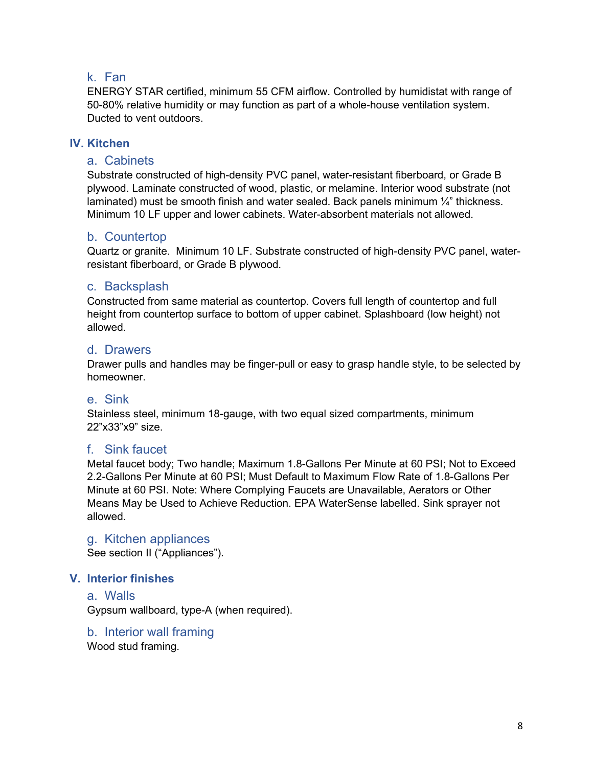# k. Fan

ENERGY STAR certified, minimum 55 CFM airflow. Controlled by humidistat with range of 50-80% relative humidity or may function as part of a whole-house ventilation system. Ducted to vent outdoors.

## **IV. Kitchen**

#### a. Cabinets

Substrate constructed of high-density PVC panel, water-resistant fiberboard, or Grade B plywood. Laminate constructed of wood, plastic, or melamine. Interior wood substrate (not laminated) must be smooth finish and water sealed. Back panels minimum  $\frac{1}{4}$ " thickness. Minimum 10 LF upper and lower cabinets. Water-absorbent materials not allowed.

# b. Countertop

Quartz or granite. Minimum 10 LF. Substrate constructed of high-density PVC panel, waterresistant fiberboard, or Grade B plywood.

# c. Backsplash

Constructed from same material as countertop. Covers full length of countertop and full height from countertop surface to bottom of upper cabinet. Splashboard (low height) not allowed.

## d. Drawers

Drawer pulls and handles may be finger-pull or easy to grasp handle style, to be selected by homeowner.

## e. Sink

Stainless steel, minimum 18-gauge, with two equal sized compartments, minimum 22"x33"x9" size.

## f. Sink faucet

Metal faucet body; Two handle; Maximum 1.8-Gallons Per Minute at 60 PSI; Not to Exceed 2.2-Gallons Per Minute at 60 PSI; Must Default to Maximum Flow Rate of 1.8-Gallons Per Minute at 60 PSI. Note: Where Complying Faucets are Unavailable, Aerators or Other Means May be Used to Achieve Reduction. EPA WaterSense labelled. Sink sprayer not allowed.

g. Kitchen appliances See section II ("Appliances").

## **V. Interior finishes**

## a. Walls

Gypsum wallboard, type-A (when required).

b. Interior wall framing Wood stud framing.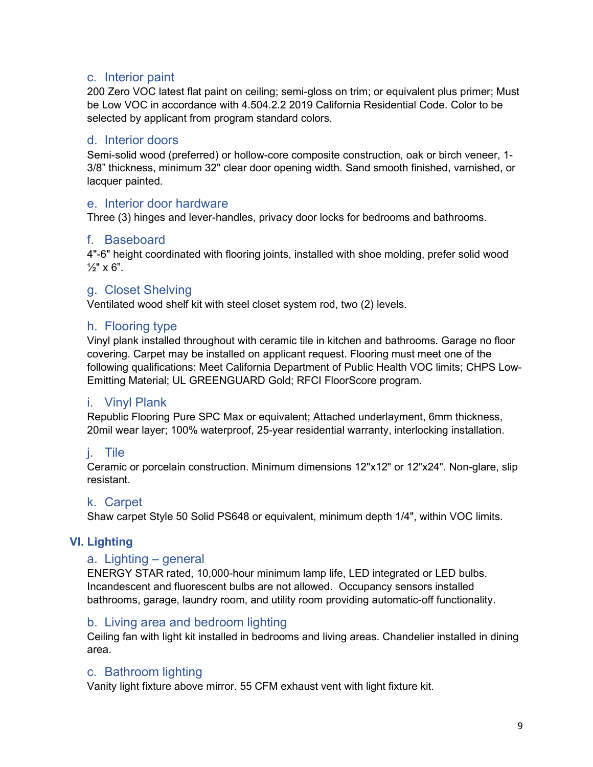# c. Interior paint

200 Zero VOC latest flat paint on ceiling; semi-gloss on trim; or equivalent plus primer; Must be Low VOC in accordance with 4.504.2.2 2019 California Residential Code. Color to be selected by applicant from program standard colors.

## d. Interior doors

Semi-solid wood (preferred) or hollow-core composite construction, oak or birch veneer, 1- 3/8" thickness, minimum 32" clear door opening width. Sand smooth finished, varnished, or lacquer painted.

# e. Interior door hardware

Three (3) hinges and lever-handles, privacy door locks for bedrooms and bathrooms.

# f. Baseboard

4"-6" height coordinated with flooring joints, installed with shoe molding, prefer solid wood  $\frac{1}{2}$ " x 6".

# g. Closet Shelving

Ventilated wood shelf kit with steel closet system rod, two (2) levels.

# h. Flooring type

Vinyl plank installed throughout with ceramic tile in kitchen and bathrooms. Garage no floor covering. Carpet may be installed on applicant request. Flooring must meet one of the following qualifications: Meet California Department of Public Health VOC limits; CHPS Low-Emitting Material; UL GREENGUARD Gold; RFCI FloorScore program.

## i. Vinyl Plank

Republic Flooring Pure SPC Max or equivalent; Attached underlayment, 6mm thickness, 20mil wear layer; 100% waterproof, 25-year residential warranty, interlocking installation.

# j. Tile

Ceramic or porcelain construction. Minimum dimensions 12"x12" or 12"x24". Non-glare, slip resistant.

## k. Carpet

Shaw carpet Style 50 Solid PS648 or equivalent, minimum depth 1/4", within VOC limits.

## **VI. Lighting**

## a. Lighting – general

ENERGY STAR rated, 10,000-hour minimum lamp life, LED integrated or LED bulbs. Incandescent and fluorescent bulbs are not allowed. Occupancy sensors installed bathrooms, garage, laundry room, and utility room providing automatic-off functionality.

## b. Living area and bedroom lighting

Ceiling fan with light kit installed in bedrooms and living areas. Chandelier installed in dining area.

## c. Bathroom lighting

Vanity light fixture above mirror. 55 CFM exhaust vent with light fixture kit.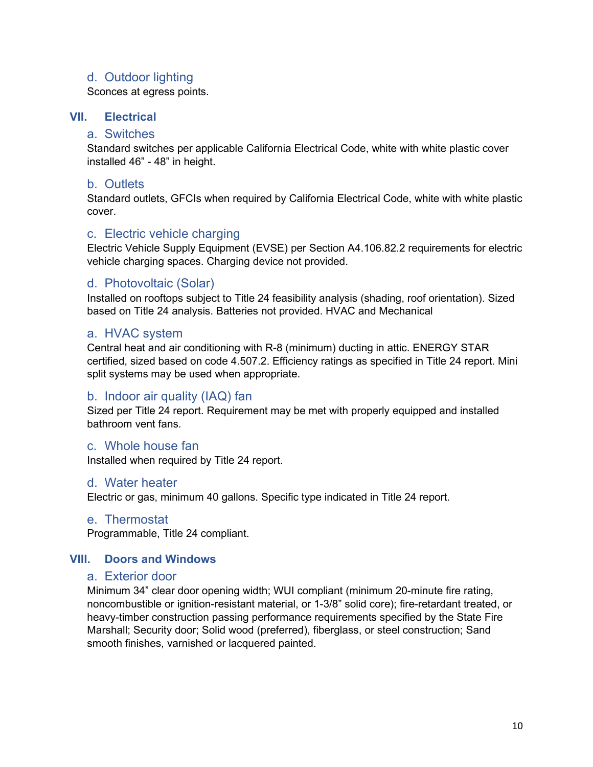# d. Outdoor lighting

Sconces at egress points.

#### **VII. Electrical**

#### a. Switches

Standard switches per applicable California Electrical Code, white with white plastic cover installed 46" - 48" in height.

#### b. Outlets

Standard outlets, GFCIs when required by California Electrical Code, white with white plastic cover.

#### c. Electric vehicle charging

Electric Vehicle Supply Equipment (EVSE) per Section A4.106.82.2 requirements for electric vehicle charging spaces. Charging device not provided.

# d. Photovoltaic (Solar)

Installed on rooftops subject to Title 24 feasibility analysis (shading, roof orientation). Sized based on Title 24 analysis. Batteries not provided. HVAC and Mechanical

#### a. HVAC system

Central heat and air conditioning with R-8 (minimum) ducting in attic. ENERGY STAR certified, sized based on code 4.507.2. Efficiency ratings as specified in Title 24 report. Mini split systems may be used when appropriate.

## b. Indoor air quality (IAQ) fan

Sized per Title 24 report. Requirement may be met with properly equipped and installed bathroom vent fans.

#### c. Whole house fan

Installed when required by Title 24 report.

#### d. Water heater

Electric or gas, minimum 40 gallons. Specific type indicated in Title 24 report.

#### e. Thermostat

Programmable, Title 24 compliant.

#### **VIII. Doors and Windows**

#### a. Exterior door

Minimum 34" clear door opening width; WUI compliant (minimum 20-minute fire rating, noncombustible or ignition-resistant material, or 1-3/8" solid core); fire-retardant treated, or heavy-timber construction passing performance requirements specified by the State Fire Marshall; Security door; Solid wood (preferred), fiberglass, or steel construction; Sand smooth finishes, varnished or lacquered painted.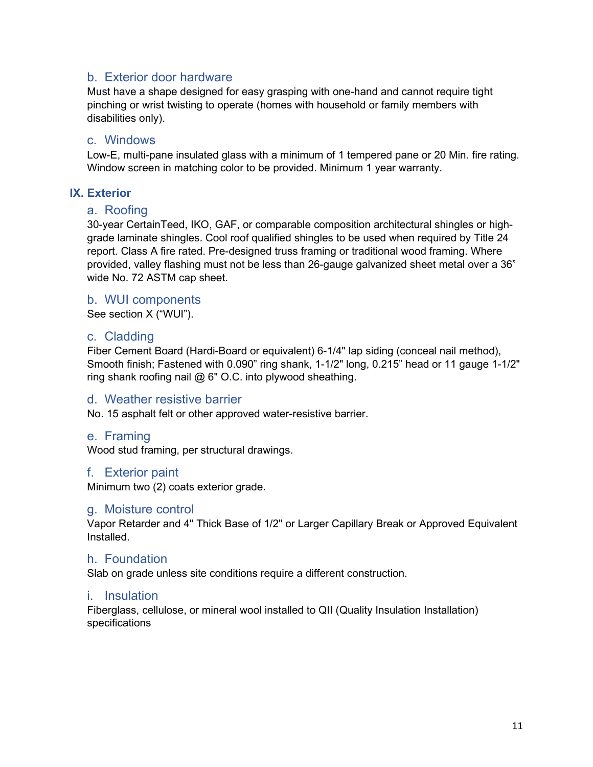# b. Exterior door hardware

Must have a shape designed for easy grasping with one-hand and cannot require tight pinching or wrist twisting to operate (homes with household or family members with disabilities only).

#### c. Windows

Low-E, multi-pane insulated glass with a minimum of 1 tempered pane or 20 Min. fire rating. Window screen in matching color to be provided. Minimum 1 year warranty.

## **IX. Exterior**

#### a. Roofing

30-year CertainTeed, IKO, GAF, or comparable composition architectural shingles or highgrade laminate shingles. Cool roof qualified shingles to be used when required by Title 24 report. Class A fire rated. Pre-designed truss framing or traditional wood framing. Where provided, valley flashing must not be less than 26-gauge galvanized sheet metal over a 36" wide No. 72 ASTM cap sheet.

## b. WUI components

See section X ("WUI").

#### c. Cladding

Fiber Cement Board (Hardi-Board or equivalent) 6-1/4" lap siding (conceal nail method), Smooth finish; Fastened with 0.090" ring shank, 1-1/2" long, 0.215" head or 11 gauge 1-1/2" ring shank roofing nail @ 6" O.C. into plywood sheathing.

#### d. Weather resistive barrier

No. 15 asphalt felt or other approved water-resistive barrier.

#### e. Framing

Wood stud framing, per structural drawings.

#### f. Exterior paint

Minimum two (2) coats exterior grade.

#### g. Moisture control

Vapor Retarder and 4" Thick Base of 1/2" or Larger Capillary Break or Approved Equivalent Installed.

#### h. Foundation

Slab on grade unless site conditions require a different construction.

#### i. Insulation

Fiberglass, cellulose, or mineral wool installed to QII (Quality Insulation Installation) specifications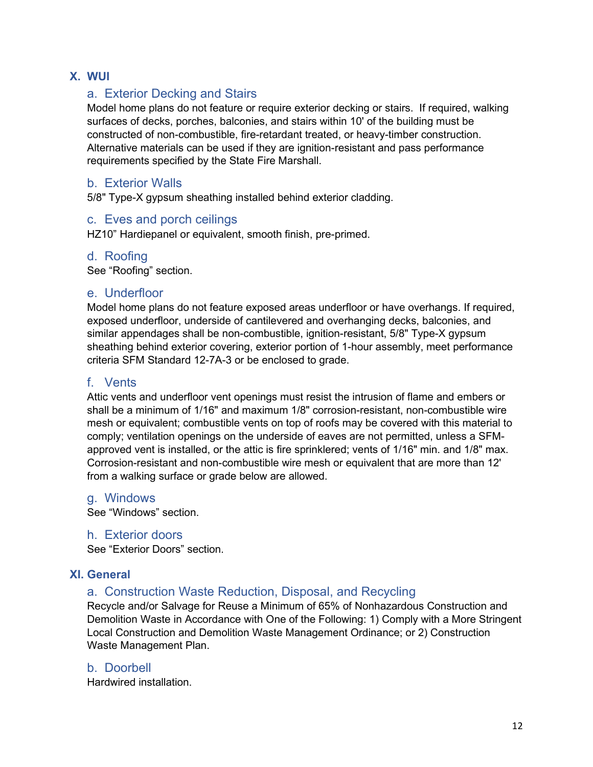# **X. WUI**

# a. Exterior Decking and Stairs

Model home plans do not feature or require exterior decking or stairs. If required, walking surfaces of decks, porches, balconies, and stairs within 10' of the building must be constructed of non-combustible, fire-retardant treated, or heavy-timber construction. Alternative materials can be used if they are ignition-resistant and pass performance requirements specified by the State Fire Marshall.

# b. Exterior Walls

5/8" Type-X gypsum sheathing installed behind exterior cladding.

## c. Eves and porch ceilings

HZ10" Hardiepanel or equivalent, smooth finish, pre-primed.

#### d. Roofing

See "Roofing" section.

#### e. Underfloor

Model home plans do not feature exposed areas underfloor or have overhangs. If required, exposed underfloor, underside of cantilevered and overhanging decks, balconies, and similar appendages shall be non-combustible, ignition-resistant, 5/8" Type-X gypsum sheathing behind exterior covering, exterior portion of 1-hour assembly, meet performance criteria SFM Standard 12-7A-3 or be enclosed to grade.

#### f. Vents

Attic vents and underfloor vent openings must resist the intrusion of flame and embers or shall be a minimum of 1/16" and maximum 1/8" corrosion-resistant, non-combustible wire mesh or equivalent; combustible vents on top of roofs may be covered with this material to comply; ventilation openings on the underside of eaves are not permitted, unless a SFMapproved vent is installed, or the attic is fire sprinklered; vents of 1/16" min. and 1/8" max. Corrosion-resistant and non-combustible wire mesh or equivalent that are more than 12' from a walking surface or grade below are allowed.

#### g. Windows

See "Windows" section.

#### h. Exterior doors

See "Exterior Doors" section.

#### **XI. General**

#### a. Construction Waste Reduction, Disposal, and Recycling

Recycle and/or Salvage for Reuse a Minimum of 65% of Nonhazardous Construction and Demolition Waste in Accordance with One of the Following: 1) Comply with a More Stringent Local Construction and Demolition Waste Management Ordinance; or 2) Construction Waste Management Plan.

#### b. Doorbell

Hardwired installation.